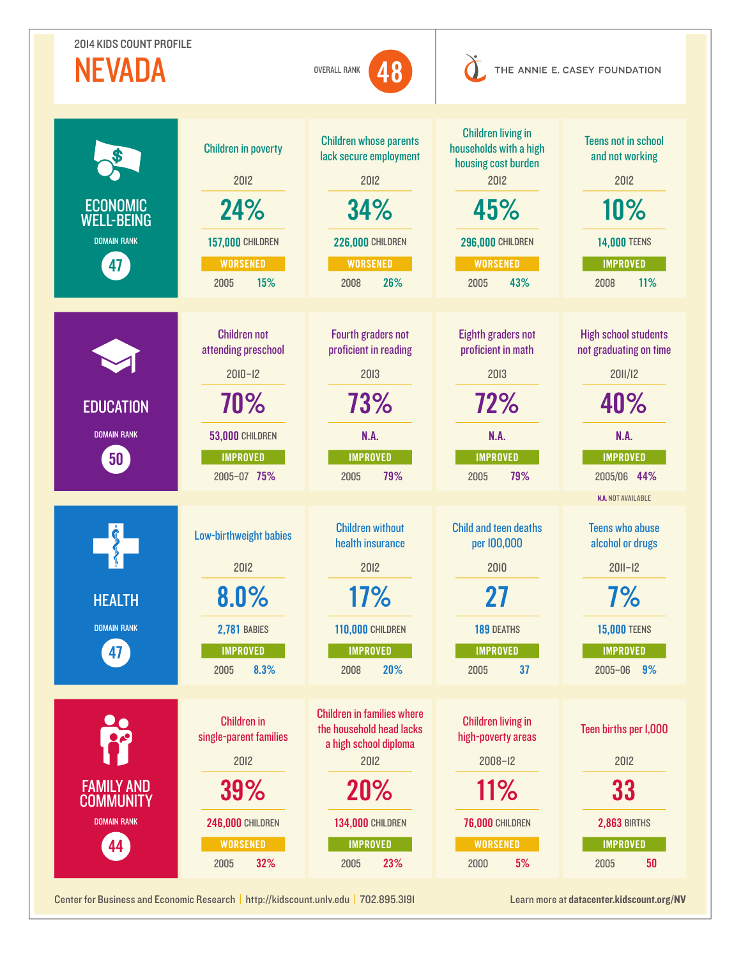| <b>2014 KIDS COUNT PROFILE</b><br>NEVADA<br>48<br><b>OVERALL RANK</b> |                                                                                                                              | THE ANNIE E. CASEY FOUNDATION                                                                                                                                      |                                                                                                                                                        |                                                                                                                                                |
|-----------------------------------------------------------------------|------------------------------------------------------------------------------------------------------------------------------|--------------------------------------------------------------------------------------------------------------------------------------------------------------------|--------------------------------------------------------------------------------------------------------------------------------------------------------|------------------------------------------------------------------------------------------------------------------------------------------------|
| <b>ECONOMIC</b><br><b>WELL-BEING</b><br><b>DOMAIN RANK</b><br>47      | <b>Children in poverty</b><br>2012<br>24%<br><b>157,000 CHILDREN</b><br><b>WORSENED</b><br>15%<br>2005                       | <b>Children whose parents</b><br>lack secure employment<br>2012<br>34%<br><b>226,000 CHILDREN</b><br><b>WORSENED</b><br>26%<br>2008                                | <b>Children living in</b><br>households with a high<br>housing cost burden<br>2012<br>45%<br><b>296,000 CHILDREN</b><br><b>WORSENED</b><br>43%<br>2005 | <b>Teens not in school</b><br>and not working<br>2012<br>10%<br><b>14,000 TEENS</b><br><b>IMPROVED</b><br>11%<br>2008                          |
| <b>EDUCATION</b><br><b>DOMAIN RANK</b><br>50 <sup>2</sup>             | <b>Children not</b><br>attending preschool<br>$2010 - 12$<br>70%<br><b>53,000 CHILDREN</b><br><b>IMPROVED</b><br>2005-07 75% | Fourth graders not<br>proficient in reading<br>2013<br>73%<br>N.A.<br><b>IMPROVED</b><br>79%<br>2005                                                               | Eighth graders not<br>proficient in math<br>2013<br>72%<br>N.A.<br><b>IMPROVED</b><br>79%<br>2005                                                      | <b>High school students</b><br>not graduating on time<br>2011/12<br>40%<br>N.A.<br><b>IMPROVED</b><br>2005/06 44%<br><b>N.A. NOT AVAILABLE</b> |
| <b>HEALTH</b><br><b>DOMAIN RANK</b><br>47 <sup>2</sup>                | Low-birthweight babies<br>2012<br>8.0%<br><b>2,781 BABIES</b><br><b>IMPROVED</b><br>8.3%<br>2005                             | <b>Children without</b><br>health insurance<br>2012<br>17%<br><b>110,000 CHILDREN</b><br><b>IMPROVED</b><br>20%<br>2008                                            | <b>Child and teen deaths</b><br>per 100,000<br>2010<br>27<br>189 DEATHS<br><b>IMPROVED</b><br>37<br>2005                                               | <b>Teens who abuse</b><br>alcohol or drugs<br>$201 - 12$<br>7%<br><b>15,000 TEENS</b><br><b>IMPROVED</b><br>2005-06 9%                         |
| <b>FAMILY AND</b><br><b>COMMUNITY</b><br><b>DOMAIN RANK</b><br>44     | <b>Children in</b><br>single-parent families<br>2012<br>39%<br><b>246,000 CHILDREN</b><br><b>WORSENED</b><br>32%<br>2005     | <b>Children in families where</b><br>the household head lacks<br>a high school diploma<br>2012<br>20%<br><b>134,000 CHILDREN</b><br><b>IMPROVED</b><br>23%<br>2005 | <b>Children living in</b><br>high-poverty areas<br>$2008 - 12$<br>11%<br><b>76,000 CHILDREN</b><br><b>WORSENED</b><br>5%<br>2000                       | Teen births per I,000<br>2012<br>33<br><b>2,863 BIRTHS</b><br><b>IMPROVED</b><br>50<br>2005                                                    |

Center for Business and Economic Research | <http://kidscount.unlv.edu>| 702.895.3191 Learn more at [datacenter.kidscount.org/](http://datacenter.kidscount.org/NV)NV